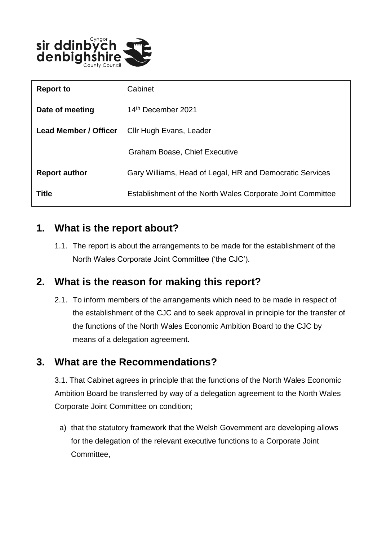

| <b>Report to</b>             | Cabinet                                                    |
|------------------------------|------------------------------------------------------------|
| Date of meeting              | 14th December 2021                                         |
| <b>Lead Member / Officer</b> | Cllr Hugh Evans, Leader                                    |
|                              | <b>Graham Boase, Chief Executive</b>                       |
| <b>Report author</b>         | Gary Williams, Head of Legal, HR and Democratic Services   |
| <b>Title</b>                 | Establishment of the North Wales Corporate Joint Committee |

### **1. What is the report about?**

1.1. The report is about the arrangements to be made for the establishment of the North Wales Corporate Joint Committee ('the CJC').

## **2. What is the reason for making this report?**

2.1. To inform members of the arrangements which need to be made in respect of the establishment of the CJC and to seek approval in principle for the transfer of the functions of the North Wales Economic Ambition Board to the CJC by means of a delegation agreement.

## **3. What are the Recommendations?**

3.1. That Cabinet agrees in principle that the functions of the North Wales Economic Ambition Board be transferred by way of a delegation agreement to the North Wales Corporate Joint Committee on condition;

a) that the statutory framework that the Welsh Government are developing allows for the delegation of the relevant executive functions to a Corporate Joint Committee,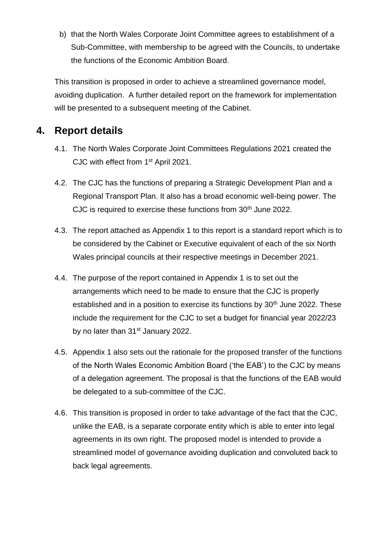b) that the North Wales Corporate Joint Committee agrees to establishment of a Sub-Committee, with membership to be agreed with the Councils, to undertake the functions of the Economic Ambition Board.

This transition is proposed in order to achieve a streamlined governance model, avoiding duplication. A further detailed report on the framework for implementation will be presented to a subsequent meeting of the Cabinet.

### **4. Report details**

- 4.1. The North Wales Corporate Joint Committees Regulations 2021 created the CJC with effect from 1<sup>st</sup> April 2021.
- 4.2. The CJC has the functions of preparing a Strategic Development Plan and a Regional Transport Plan. It also has a broad economic well-being power. The CJC is required to exercise these functions from 30<sup>th</sup> June 2022.
- 4.3. The report attached as Appendix 1 to this report is a standard report which is to be considered by the Cabinet or Executive equivalent of each of the six North Wales principal councils at their respective meetings in December 2021.
- 4.4. The purpose of the report contained in Appendix 1 is to set out the arrangements which need to be made to ensure that the CJC is properly established and in a position to exercise its functions by  $30<sup>th</sup>$  June 2022. These include the requirement for the CJC to set a budget for financial year 2022/23 by no later than 31<sup>st</sup> January 2022.
- 4.5. Appendix 1 also sets out the rationale for the proposed transfer of the functions of the North Wales Economic Ambition Board ('the EAB') to the CJC by means of a delegation agreement. The proposal is that the functions of the EAB would be delegated to a sub-committee of the CJC.
- 4.6. This transition is proposed in order to take advantage of the fact that the CJC, unlike the EAB, is a separate corporate entity which is able to enter into legal agreements in its own right. The proposed model is intended to provide a streamlined model of governance avoiding duplication and convoluted back to back legal agreements.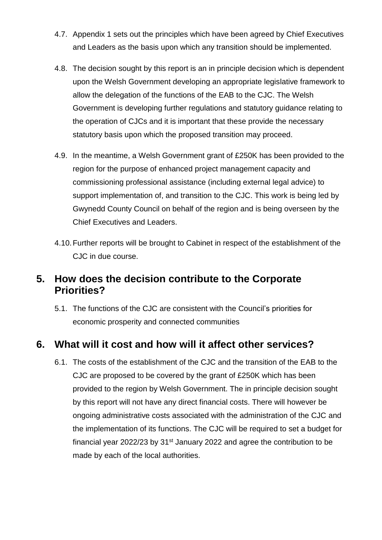- 4.7. Appendix 1 sets out the principles which have been agreed by Chief Executives and Leaders as the basis upon which any transition should be implemented.
- 4.8. The decision sought by this report is an in principle decision which is dependent upon the Welsh Government developing an appropriate legislative framework to allow the delegation of the functions of the EAB to the CJC. The Welsh Government is developing further regulations and statutory guidance relating to the operation of CJCs and it is important that these provide the necessary statutory basis upon which the proposed transition may proceed.
- 4.9. In the meantime, a Welsh Government grant of £250K has been provided to the region for the purpose of enhanced project management capacity and commissioning professional assistance (including external legal advice) to support implementation of, and transition to the CJC. This work is being led by Gwynedd County Council on behalf of the region and is being overseen by the Chief Executives and Leaders.
- 4.10.Further reports will be brought to Cabinet in respect of the establishment of the CJC in due course.

### **5. How does the decision contribute to the Corporate Priorities?**

5.1. The functions of the CJC are consistent with the Council's priorities for economic prosperity and connected communities

## **6. What will it cost and how will it affect other services?**

6.1. The costs of the establishment of the CJC and the transition of the EAB to the CJC are proposed to be covered by the grant of £250K which has been provided to the region by Welsh Government. The in principle decision sought by this report will not have any direct financial costs. There will however be ongoing administrative costs associated with the administration of the CJC and the implementation of its functions. The CJC will be required to set a budget for financial year 2022/23 by 31st January 2022 and agree the contribution to be made by each of the local authorities.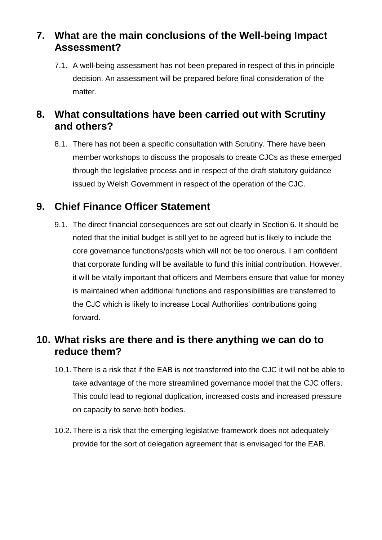## **7. What are the main conclusions of the Well-being Impact Assessment?**

7.1. A well-being assessment has not been prepared in respect of this in principle decision. An assessment will be prepared before final consideration of the matter.

## **8. What consultations have been carried out with Scrutiny and others?**

8.1. There has not been a specific consultation with Scrutiny. There have been member workshops to discuss the proposals to create CJCs as these emerged through the legislative process and in respect of the draft statutory guidance issued by Welsh Government in respect of the operation of the CJC.

## **9. Chief Finance Officer Statement**

9.1. The direct financial consequences are set out clearly in Section 6. It should be noted that the initial budget is still yet to be agreed but is likely to include the core governance functions/posts which will not be too onerous. I am confident that corporate funding will be available to fund this initial contribution. However, it will be vitally important that officers and Members ensure that value for money is maintained when additional functions and responsibilities are transferred to the CJC which is likely to increase Local Authorities' contributions going forward.

### **10. What risks are there and is there anything we can do to reduce them?**

- 10.1.There is a risk that if the EAB is not transferred into the CJC it will not be able to take advantage of the more streamlined governance model that the CJC offers. This could lead to regional duplication, increased costs and increased pressure on capacity to serve both bodies.
- 10.2.There is a risk that the emerging legislative framework does not adequately provide for the sort of delegation agreement that is envisaged for the EAB.